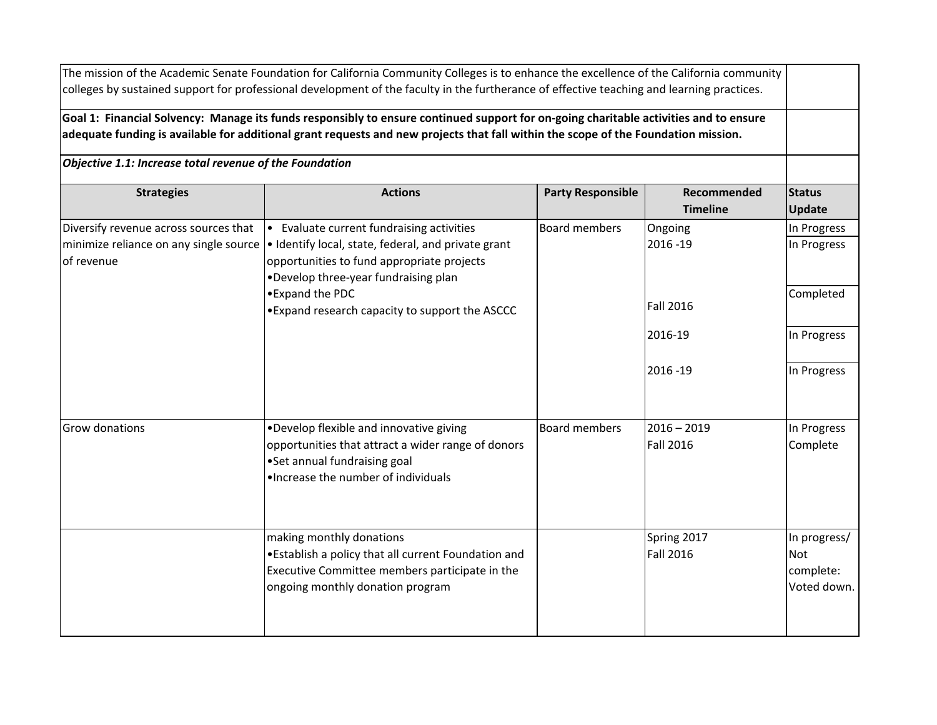**Strategies Actions Party Responsible Recommended Recommended Timeline Status Update** Diversify revenue across sources that | Evaluate current fundraising activities | Board members | Ongoing | In Progress minimize reliance on any single source • Identify local, state, federal, and private grant of revenue 2016 -19 In Progress Fall 2016 Completed 2016-19 In Progress 2016 -19 In Progress Grow donations **•Develop flexible and innovative giving** opportunities that attract a wider range of donors •Set annual fundraising goal •Increase the number of individuals Board members  $12016 - 2019$ Fall 2016 In Progress Complete making monthly donations •Establish a policy that all current Foundation and Executive Committee members participate in the ongoing monthly donation program Spring 2017 Fall 2016 In progress/ Not complete: Voted down. The mission of the Academic Senate Foundation for California Community Colleges is to enhance the excellence of the California community colleges by sustained support for professional development of the faculty in the furtherance of effective teaching and learning practices. **Goal 1: Financial Solvency: Manage its funds responsibly to ensure continued support for on-going charitable activities and to ensure adequate funding is available for additional grant requests and new projects that fall within the scope of the Foundation mission.** *Objective 1.1: Increase total revenue of the Foundation* opportunities to fund appropriate projects •Develop three-year fundraising plan •Expand the PDC •Expand research capacity to support the ASCCC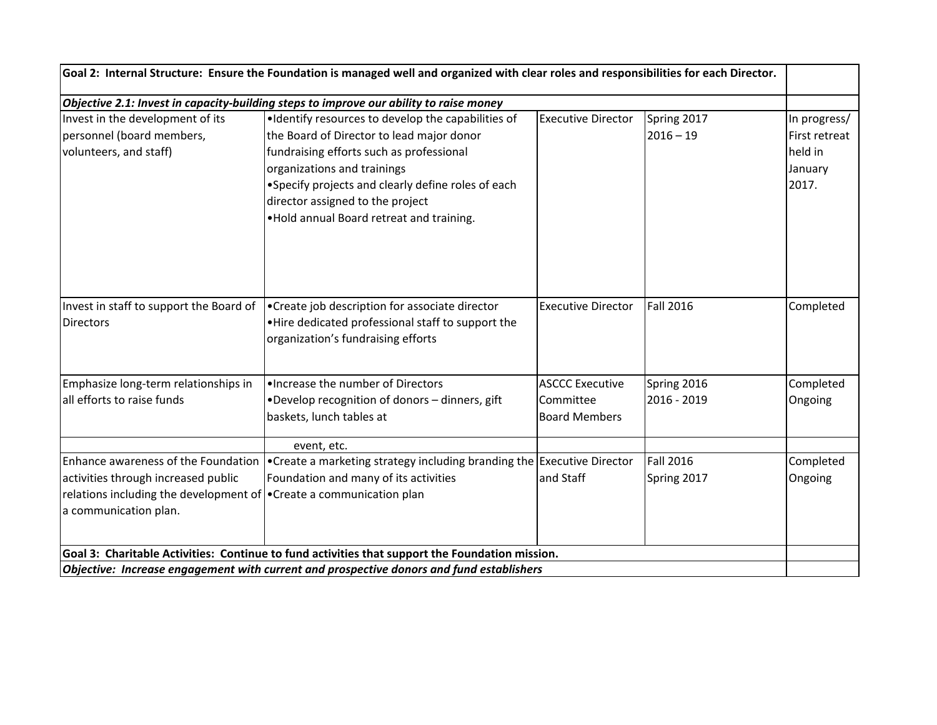| Goal 2: Internal Structure: Ensure the Foundation is managed well and organized with clear roles and responsibilities for each Director.<br>Objective 2.1: Invest in capacity-building steps to improve our ability to raise money |                                                                                                                                            |                                                             |                                 |                      |  |
|------------------------------------------------------------------------------------------------------------------------------------------------------------------------------------------------------------------------------------|--------------------------------------------------------------------------------------------------------------------------------------------|-------------------------------------------------------------|---------------------------------|----------------------|--|
|                                                                                                                                                                                                                                    |                                                                                                                                            |                                                             |                                 |                      |  |
| Invest in staff to support the Board of<br><b>Directors</b>                                                                                                                                                                        | •Create job description for associate director<br>. Hire dedicated professional staff to support the<br>organization's fundraising efforts | <b>Executive Director</b>                                   | <b>Fall 2016</b>                | Completed            |  |
| Emphasize long-term relationships in<br>all efforts to raise funds                                                                                                                                                                 | . Increase the number of Directors<br>•Develop recognition of donors - dinners, gift<br>baskets, lunch tables at                           | <b>ASCCC Executive</b><br>Committee<br><b>Board Members</b> | Spring 2016<br>2016 - 2019      | Completed<br>Ongoing |  |
| Enhance awareness of the Foundation<br>activities through increased public<br>relations including the development of • Create a communication plan<br>a communication plan.                                                        | event, etc.<br>•Create a marketing strategy including branding the Executive Director<br>Foundation and many of its activities             | and Staff                                                   | <b>Fall 2016</b><br>Spring 2017 | Completed<br>Ongoing |  |
| Goal 3: Charitable Activities: Continue to fund activities that support the Foundation mission.<br>Objective: Increase engagement with current and prospective donors and fund establishers                                        |                                                                                                                                            |                                                             |                                 |                      |  |